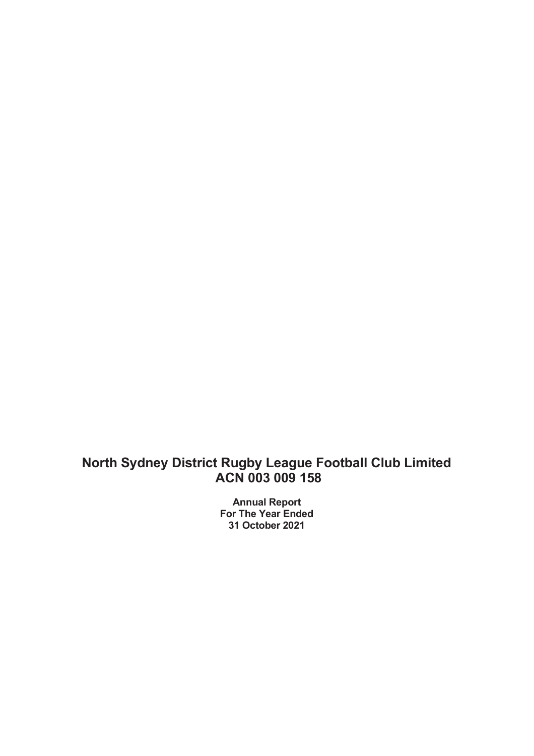Annual Report For The Year Ended 31 October 2021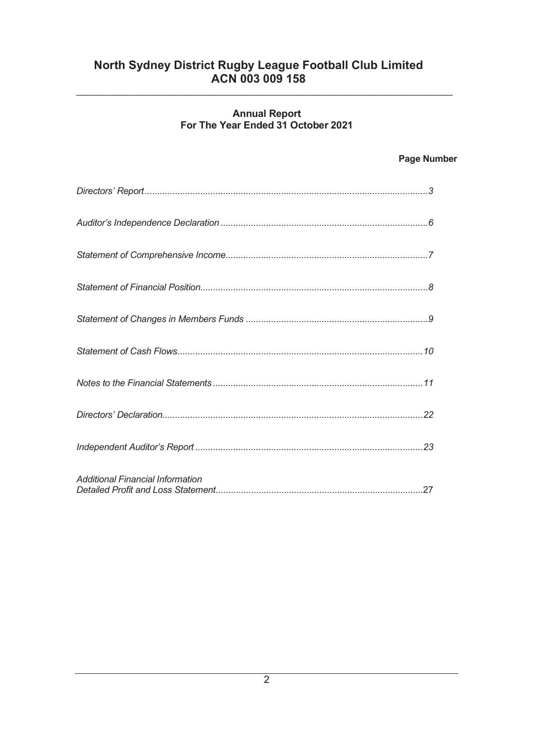# Annual Report For The Year Ended 31 October 2021

\_\_\_\_\_\_\_\_\_\_\_\_\_\_\_\_\_\_\_\_\_\_\_\_\_\_\_\_\_\_\_\_\_\_\_\_\_\_\_\_\_\_\_\_\_\_\_\_\_\_\_\_\_\_\_\_\_\_\_\_\_\_\_\_\_\_\_\_\_\_\_\_\_

# Page Number

| <b>Additional Financial Information</b> |
|-----------------------------------------|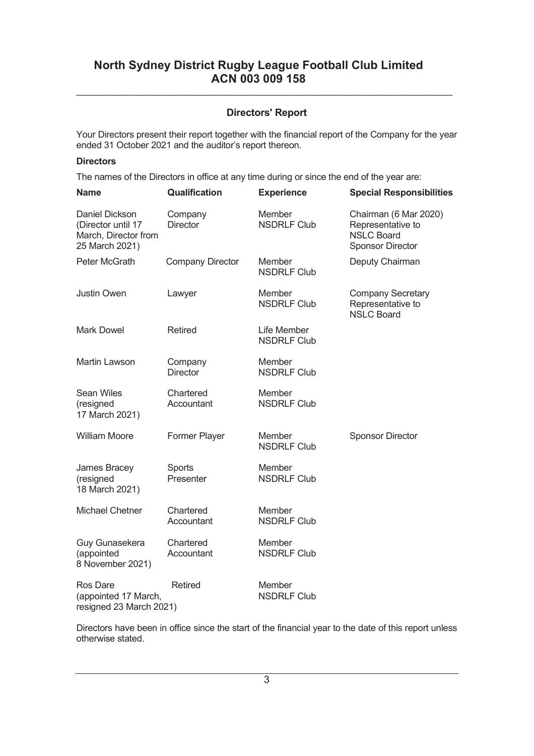# Directors' Report

\_\_\_\_\_\_\_\_\_\_\_\_\_\_\_\_\_\_\_\_\_\_\_\_\_\_\_\_\_\_\_\_\_\_\_\_\_\_\_\_\_\_\_\_\_\_\_\_\_\_\_\_\_\_\_\_\_\_\_\_\_\_\_\_\_\_\_\_\_\_\_\_\_

Your Directors present their report together with the financial report of the Company for the year ended 31 October 2021 and the auditor's report thereon.

#### **Directors**

The names of the Directors in office at any time during or since the end of the year are:

| <b>Name</b>                                                                           | Qualification              | <b>Experience</b>                 | <b>Special Responsibilities</b>                                                            |
|---------------------------------------------------------------------------------------|----------------------------|-----------------------------------|--------------------------------------------------------------------------------------------|
| <b>Daniel Dickson</b><br>(Director until 17<br>March, Director from<br>25 March 2021) | Company<br><b>Director</b> | Member<br><b>NSDRLF Club</b>      | Chairman (6 Mar 2020)<br>Representative to<br><b>NSLC Board</b><br><b>Sponsor Director</b> |
| Peter McGrath                                                                         | <b>Company Director</b>    | Member<br><b>NSDRLF Club</b>      | Deputy Chairman                                                                            |
| <b>Justin Owen</b>                                                                    | Lawyer                     | Member<br><b>NSDRLF Club</b>      | <b>Company Secretary</b><br>Representative to<br><b>NSLC Board</b>                         |
| <b>Mark Dowel</b>                                                                     | <b>Retired</b>             | Life Member<br><b>NSDRLF Club</b> |                                                                                            |
| <b>Martin Lawson</b>                                                                  | Company<br><b>Director</b> | Member<br><b>NSDRLF Club</b>      |                                                                                            |
| <b>Sean Wiles</b><br>(resigned<br>17 March 2021)                                      | Chartered<br>Accountant    | Member<br><b>NSDRLF Club</b>      |                                                                                            |
| <b>William Moore</b>                                                                  | Former Player              | Member<br><b>NSDRLF Club</b>      | <b>Sponsor Director</b>                                                                    |
| James Bracey<br>(resigned<br>18 March 2021)                                           | Sports<br>Presenter        | Member<br><b>NSDRLF Club</b>      |                                                                                            |
| <b>Michael Chetner</b>                                                                | Chartered<br>Accountant    | Member<br><b>NSDRLF Club</b>      |                                                                                            |
| Guy Gunasekera<br>(appointed<br>8 November 2021)                                      | Chartered<br>Accountant    | Member<br><b>NSDRLF Club</b>      |                                                                                            |
| <b>Ros Dare</b><br>(appointed 17 March,<br>resigned 23 March 2021)                    | <b>Retired</b>             | Member<br><b>NSDRLF Club</b>      |                                                                                            |

Directors have been in office since the start of the financial year to the date of this report unless otherwise stated.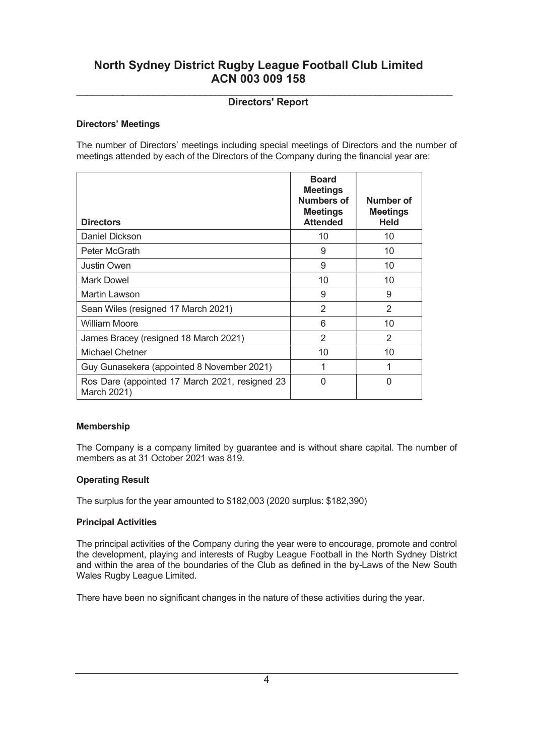#### \_\_\_\_\_\_\_\_\_\_\_\_\_\_\_\_\_\_\_\_\_\_\_\_\_\_\_\_\_\_\_\_\_\_\_\_\_\_\_\_\_\_\_\_\_\_\_\_\_\_\_\_\_\_\_\_\_\_\_\_\_\_\_\_\_\_\_\_\_\_\_\_\_ Directors' Report

#### Directors' Meetings

The number of Directors' meetings including special meetings of Directors and the number of meetings attended by each of the Directors of the Company during the financial year are:

| <b>Directors</b>                                              | <b>Board</b><br><b>Meetings</b><br><b>Numbers of</b><br><b>Meetings</b><br><b>Attended</b> | Number of<br><b>Meetings</b><br><b>Held</b> |
|---------------------------------------------------------------|--------------------------------------------------------------------------------------------|---------------------------------------------|
| Daniel Dickson                                                | 10                                                                                         | 10                                          |
| Peter McGrath                                                 | 9                                                                                          | 10                                          |
| <b>Justin Owen</b>                                            | 9                                                                                          | 10                                          |
| Mark Dowel                                                    | 10                                                                                         | 10                                          |
| Martin Lawson                                                 | 9                                                                                          | 9                                           |
| Sean Wiles (resigned 17 March 2021)                           | 2                                                                                          | $\mathcal{P}$                               |
| <b>William Moore</b>                                          | 6                                                                                          | 10                                          |
| James Bracey (resigned 18 March 2021)                         | 2                                                                                          | $\mathcal{P}$                               |
| Michael Chetner                                               | 10                                                                                         | 10                                          |
| Guy Gunasekera (appointed 8 November 2021)                    | 1                                                                                          | 1                                           |
| Ros Dare (appointed 17 March 2021, resigned 23<br>March 2021) | ∩                                                                                          | ∩                                           |

#### Membership

The Company is a company limited by guarantee and is without share capital. The number of members as at 31 October 2021 was 819.

#### Operating Result

The surplus for the year amounted to \$182,003 (2020 surplus: \$182,390)

#### Principal Activities

The principal activities of the Company during the year were to encourage, promote and control the development, playing and interests of Rugby League Football in the North Sydney District and within the area of the boundaries of the Club as defined in the by-Laws of the New South Wales Rugby League Limited.

There have been no significant changes in the nature of these activities during the year.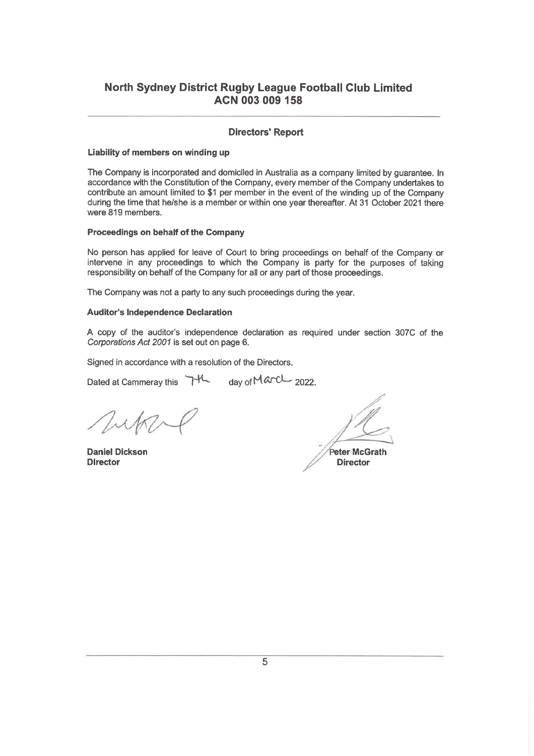#### **Directors' Report**

#### Liability of members on winding up

The Company is incorporated and domiciled in Australia as a company limited by guarantee. In accordance with the Constitution of the Company, every member of the Company undertakes to contribute an amount limited to \$1 per member in the event of the winding up of the Company during the time that he/she is a member or within one year thereafter. At 31 October 2021 there were 819 members.

#### Proceedings on behalf of the Company

No person has applied for leave of Court to bring proceedings on behalf of the Company or intervene in any proceedings to which the Company is party for the purposes of taking responsibility on behalf of the Company for all or any part of those proceedings.

The Company was not a party to any such proceedings during the year.

#### **Auditor's Independence Declaration**

A copy of the auditor's independence declaration as required under section 307C of the Corporations Act 2001 is set out on page 6.

Signed in accordance with a resolution of the Directors.

Dated at Cammeray this 7<sup>-H</sup> day of March 2022.

**Daniel Dickson Director** 

Peter McGrath

**Director**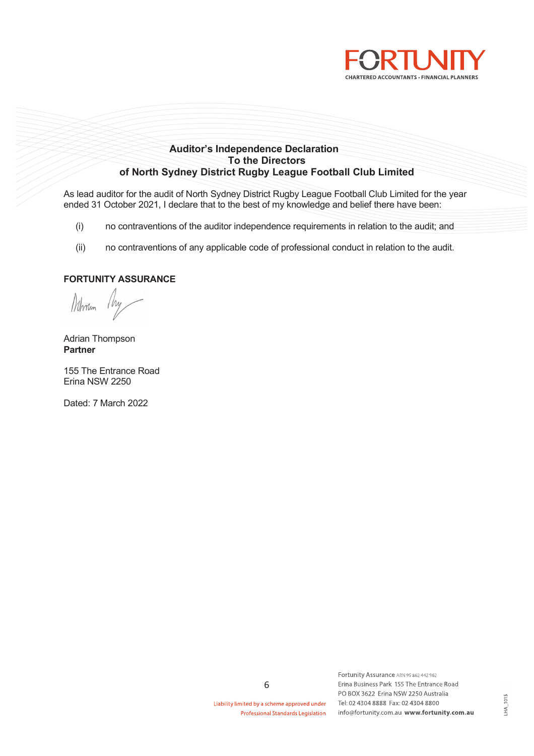

#### Auditor's Independence Declaration To the Directors of North Sydney District Rugby League Football Club Limited

As lead auditor for the audit of North Sydney District Rugby League Football Club Limited for the year ended 31 October 2021, I declare that to the best of my knowledge and belief there have been:

- (i) no contraventions of the auditor independence requirements in relation to the audit; and
- (ii) no contraventions of any applicable code of professional conduct in relation to the audit.

#### FORTUNITY ASSURANCE

Nohnin

Adrian Thompson Partner

155 The Entrance Road Erina NSW 2250

Dated: 7 March 2022

Liability limited by a scheme approved under **Professional Standards Legislation** 

6

Fortunity Assurance ABN 95 862 442 962 Erina Business Park 155 The Entrance Road PO BOX 3622 Erina NSW 2250 Australia Tel: 02 4304 8888 Fax: 02 4304 8800 info@fortunity.com.au www.fortunity.com.au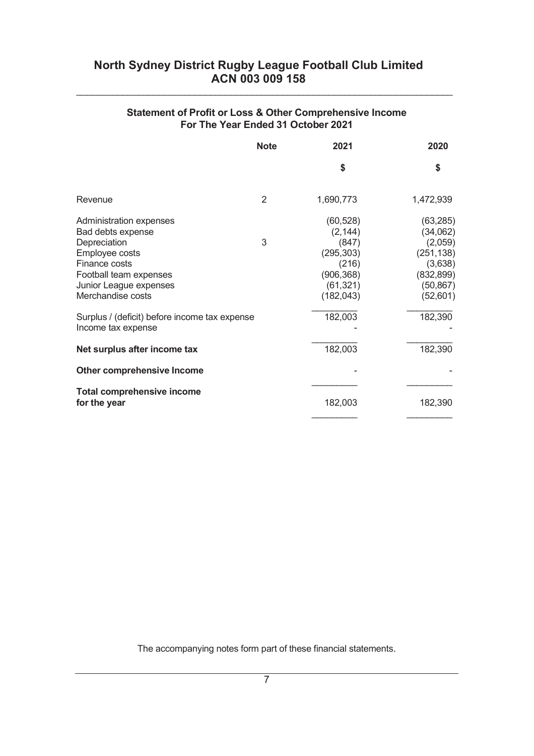# Statement of Profit or Loss & Other Comprehensive Income For The Year Ended 31 October 2021

\_\_\_\_\_\_\_\_\_\_\_\_\_\_\_\_\_\_\_\_\_\_\_\_\_\_\_\_\_\_\_\_\_\_\_\_\_\_\_\_\_\_\_\_\_\_\_\_\_\_\_\_\_\_\_\_\_\_\_\_\_\_\_\_\_\_\_\_\_\_\_\_\_

|                                                                                                                                                                                                                                                 | <b>Note</b> | 2021                                                                                                      | 2020                                                                                                        |
|-------------------------------------------------------------------------------------------------------------------------------------------------------------------------------------------------------------------------------------------------|-------------|-----------------------------------------------------------------------------------------------------------|-------------------------------------------------------------------------------------------------------------|
|                                                                                                                                                                                                                                                 |             | \$                                                                                                        | \$                                                                                                          |
| Revenue                                                                                                                                                                                                                                         | 2           | 1,690,773                                                                                                 | 1,472,939                                                                                                   |
| Administration expenses<br>Bad debts expense<br>Depreciation<br>Employee costs<br>Finance costs<br>Football team expenses<br>Junior League expenses<br>Merchandise costs<br>Surplus / (deficit) before income tax expense<br>Income tax expense | 3           | (60, 528)<br>(2, 144)<br>(847)<br>(295, 303)<br>(216)<br>(906, 368)<br>(61, 321)<br>(182, 043)<br>182,003 | (63, 285)<br>(34,062)<br>(2,059)<br>(251, 138)<br>(3,638)<br>(832, 899)<br>(50, 867)<br>(52,601)<br>182,390 |
| Net surplus after income tax                                                                                                                                                                                                                    |             | 182,003                                                                                                   | 182,390                                                                                                     |
| Other comprehensive Income                                                                                                                                                                                                                      |             |                                                                                                           |                                                                                                             |
| <b>Total comprehensive income</b><br>for the year                                                                                                                                                                                               |             | 182,003                                                                                                   | 182,390                                                                                                     |

The accompanying notes form part of these financial statements.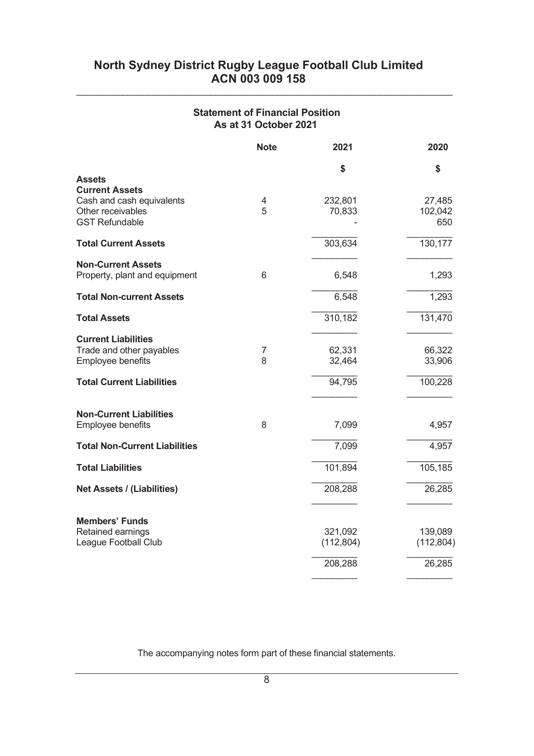# Statement of Financial Position As at 31 October 2021

\_\_\_\_\_\_\_\_\_\_\_\_\_\_\_\_\_\_\_\_\_\_\_\_\_\_\_\_\_\_\_\_\_\_\_\_\_\_\_\_\_\_\_\_\_\_\_\_\_\_\_\_\_\_\_\_\_\_\_\_\_\_\_\_\_\_\_\_\_\_\_\_\_

|                                        | <b>Note</b> | 2021       | 2020       |
|----------------------------------------|-------------|------------|------------|
|                                        |             | \$         | \$         |
| <b>Assets</b><br><b>Current Assets</b> |             |            |            |
| Cash and cash equivalents              | 4           | 232,801    | 27,485     |
| Other receivables                      | 5           | 70,833     | 102,042    |
| <b>GST Refundable</b>                  |             |            | 650        |
| <b>Total Current Assets</b>            |             | 303,634    | 130,177    |
| <b>Non-Current Assets</b>              |             |            |            |
| Property, plant and equipment          | 6           | 6,548      | 1,293      |
| <b>Total Non-current Assets</b>        |             | 6,548      | 1,293      |
|                                        |             |            |            |
| <b>Total Assets</b>                    |             | 310,182    | 131,470    |
| <b>Current Liabilities</b>             |             |            |            |
| Trade and other payables               | 7           | 62,331     | 66,322     |
| Employee benefits                      | 8           | 32,464     | 33,906     |
| <b>Total Current Liabilities</b>       |             | 94,795     | 100,228    |
|                                        |             |            |            |
| <b>Non-Current Liabilities</b>         | 8           |            |            |
| Employee benefits                      |             | 7,099      | 4,957      |
| <b>Total Non-Current Liabilities</b>   |             | 7,099      | 4,957      |
| <b>Total Liabilities</b>               |             | 101,894    | 105, 185   |
| <b>Net Assets / (Liabilities)</b>      |             | 208,288    | 26,285     |
|                                        |             |            |            |
| <b>Members' Funds</b>                  |             |            |            |
| Retained earnings                      |             | 321,092    | 139,089    |
| League Football Club                   |             | (112, 804) | (112, 804) |
|                                        |             | 208,288    | 26,285     |
|                                        |             |            |            |

The accompanying notes form part of these financial statements.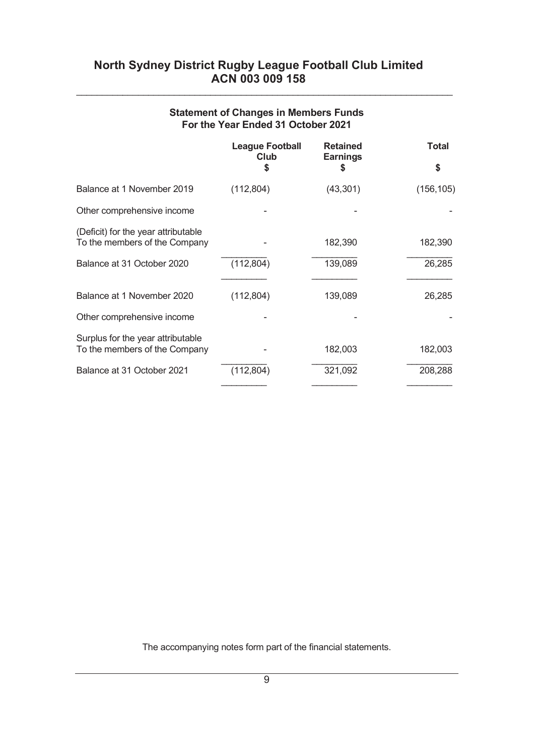| <b>Statement of Changes in Members Funds</b> |  |
|----------------------------------------------|--|
| For the Year Ended 31 October 2021           |  |

\_\_\_\_\_\_\_\_\_\_\_\_\_\_\_\_\_\_\_\_\_\_\_\_\_\_\_\_\_\_\_\_\_\_\_\_\_\_\_\_\_\_\_\_\_\_\_\_\_\_\_\_\_\_\_\_\_\_\_\_\_\_\_\_\_\_\_\_\_\_\_\_\_

|                                                                      | <b>League Football</b><br>Club<br>\$ | <b>Retained</b><br><b>Earnings</b><br>S | <b>Total</b><br>S |
|----------------------------------------------------------------------|--------------------------------------|-----------------------------------------|-------------------|
|                                                                      |                                      |                                         |                   |
| Balance at 1 November 2019                                           | (112, 804)                           | (43, 301)                               | (156, 105)        |
| Other comprehensive income                                           |                                      |                                         |                   |
| (Deficit) for the year attributable<br>To the members of the Company |                                      | 182,390                                 | 182,390           |
| Balance at 31 October 2020                                           | (112, 804)                           | 139,089                                 | 26,285            |
|                                                                      |                                      |                                         |                   |
| Balance at 1 November 2020                                           | (112, 804)                           | 139,089                                 | 26,285            |
| Other comprehensive income                                           |                                      |                                         |                   |
|                                                                      |                                      |                                         |                   |
| Surplus for the year attributable<br>To the members of the Company   |                                      | 182,003                                 | 182,003           |
| Balance at 31 October 2021                                           | (112, 804)                           | 321,092                                 | 208,288           |
|                                                                      |                                      |                                         |                   |

The accompanying notes form part of the financial statements.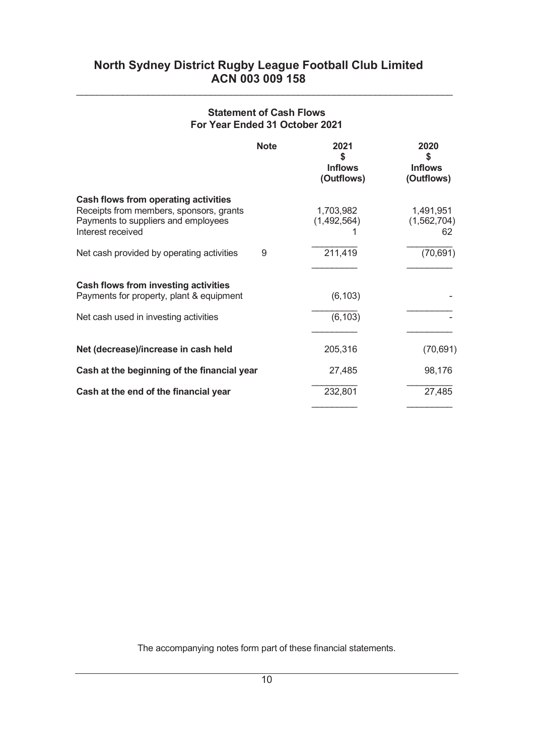# Statement of Cash Flows For Year Ended 31 October 2021

\_\_\_\_\_\_\_\_\_\_\_\_\_\_\_\_\_\_\_\_\_\_\_\_\_\_\_\_\_\_\_\_\_\_\_\_\_\_\_\_\_\_\_\_\_\_\_\_\_\_\_\_\_\_\_\_\_\_\_\_\_\_\_\_\_\_\_\_\_\_\_\_\_

| <b>Note</b>                                                                                                                                 | 2021<br>S<br><b>Inflows</b><br>(Outflows) | 2020<br>S<br><b>Inflows</b><br>(Outflows) |
|---------------------------------------------------------------------------------------------------------------------------------------------|-------------------------------------------|-------------------------------------------|
| Cash flows from operating activities<br>Receipts from members, sponsors, grants<br>Payments to suppliers and employees<br>Interest received | 1,703,982<br>(1,492,564)                  | 1,491,951<br>(1,562,704)<br>62            |
| Net cash provided by operating activities<br>9                                                                                              | 211,419                                   | (70, 691)                                 |
|                                                                                                                                             |                                           |                                           |
| Cash flows from investing activities<br>Payments for property, plant & equipment                                                            | (6, 103)                                  |                                           |
| Net cash used in investing activities                                                                                                       | (6, 103)                                  |                                           |
|                                                                                                                                             |                                           |                                           |
| Net (decrease)/increase in cash held                                                                                                        | 205,316                                   | (70, 691)                                 |
| Cash at the beginning of the financial year                                                                                                 | 27,485                                    | 98,176                                    |
| Cash at the end of the financial year                                                                                                       | 232,801                                   | 27,485                                    |

The accompanying notes form part of these financial statements.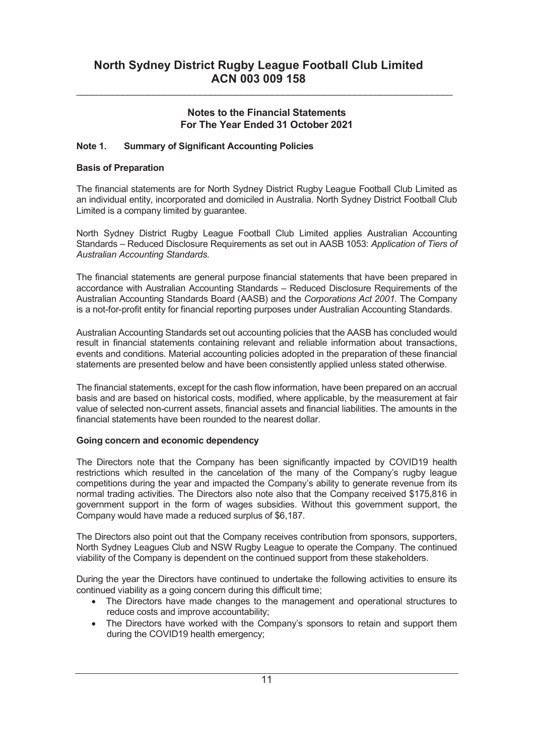\_\_\_\_\_\_\_\_\_\_\_\_\_\_\_\_\_\_\_\_\_\_\_\_\_\_\_\_\_\_\_\_\_\_\_\_\_\_\_\_\_\_\_\_\_\_\_\_\_\_\_\_\_\_\_\_\_\_\_\_\_\_\_\_\_\_\_\_\_\_\_\_\_

## Note 1. Summary of Significant Accounting Policies

#### Basis of Preparation

The financial statements are for North Sydney District Rugby League Football Club Limited as an individual entity, incorporated and domiciled in Australia. North Sydney District Football Club Limited is a company limited by guarantee.

North Sydney District Rugby League Football Club Limited applies Australian Accounting Standards – Reduced Disclosure Requirements as set out in AASB 1053: Application of Tiers of Australian Accounting Standards.

The financial statements are general purpose financial statements that have been prepared in accordance with Australian Accounting Standards – Reduced Disclosure Requirements of the Australian Accounting Standards Board (AASB) and the Corporations Act 2001. The Company is a not-for-profit entity for financial reporting purposes under Australian Accounting Standards.

Australian Accounting Standards set out accounting policies that the AASB has concluded would result in financial statements containing relevant and reliable information about transactions, events and conditions. Material accounting policies adopted in the preparation of these financial statements are presented below and have been consistently applied unless stated otherwise.

The financial statements, except for the cash flow information, have been prepared on an accrual basis and are based on historical costs, modified, where applicable, by the measurement at fair value of selected non-current assets, financial assets and financial liabilities. The amounts in the financial statements have been rounded to the nearest dollar.

#### Going concern and economic dependency

The Directors note that the Company has been significantly impacted by COVID19 health restrictions which resulted in the cancelation of the many of the Company's rugby league competitions during the year and impacted the Company's ability to generate revenue from its normal trading activities. The Directors also note also that the Company received \$175,816 in government support in the form of wages subsidies. Without this government support, the Company would have made a reduced surplus of \$6,187.

The Directors also point out that the Company receives contribution from sponsors, supporters, North Sydney Leagues Club and NSW Rugby League to operate the Company. The continued viability of the Company is dependent on the continued support from these stakeholders.

During the year the Directors have continued to undertake the following activities to ensure its continued viability as a going concern during this difficult time;

- · The Directors have made changes to the management and operational structures to reduce costs and improve accountability;
- · The Directors have worked with the Company's sponsors to retain and support them during the COVID19 health emergency;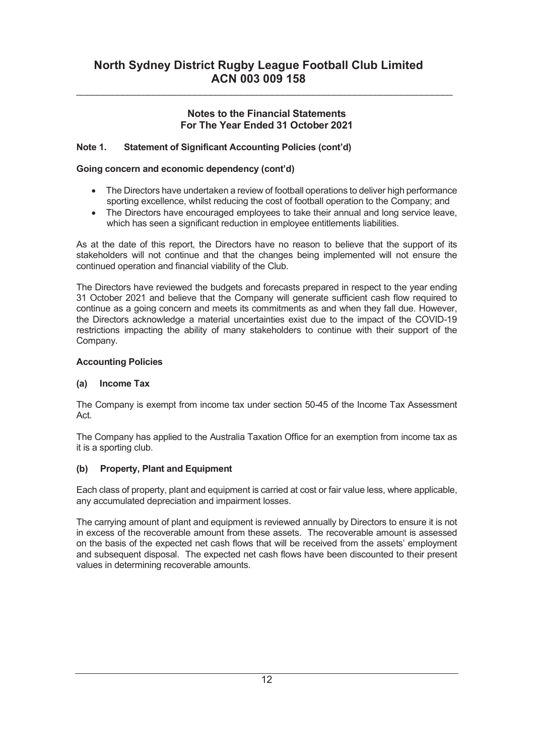\_\_\_\_\_\_\_\_\_\_\_\_\_\_\_\_\_\_\_\_\_\_\_\_\_\_\_\_\_\_\_\_\_\_\_\_\_\_\_\_\_\_\_\_\_\_\_\_\_\_\_\_\_\_\_\_\_\_\_\_\_\_\_\_\_\_\_\_\_\_\_\_\_

## Note 1. Statement of Significant Accounting Policies (cont'd)

### Going concern and economic dependency (cont'd)

- · The Directors have undertaken a review of football operations to deliver high performance sporting excellence, whilst reducing the cost of football operation to the Company; and
- · The Directors have encouraged employees to take their annual and long service leave, which has seen a significant reduction in employee entitlements liabilities.

As at the date of this report, the Directors have no reason to believe that the support of its stakeholders will not continue and that the changes being implemented will not ensure the continued operation and financial viability of the Club.

The Directors have reviewed the budgets and forecasts prepared in respect to the year ending 31 October 2021 and believe that the Company will generate sufficient cash flow required to continue as a going concern and meets its commitments as and when they fall due. However, the Directors acknowledge a material uncertainties exist due to the impact of the COVID-19 restrictions impacting the ability of many stakeholders to continue with their support of the Company.

#### Accounting Policies

#### (a) Income Tax

The Company is exempt from income tax under section 50-45 of the Income Tax Assessment Act.

The Company has applied to the Australia Taxation Office for an exemption from income tax as it is a sporting club.

#### (b) Property, Plant and Equipment

Each class of property, plant and equipment is carried at cost or fair value less, where applicable, any accumulated depreciation and impairment losses.

The carrying amount of plant and equipment is reviewed annually by Directors to ensure it is not in excess of the recoverable amount from these assets. The recoverable amount is assessed on the basis of the expected net cash flows that will be received from the assets' employment and subsequent disposal. The expected net cash flows have been discounted to their present values in determining recoverable amounts.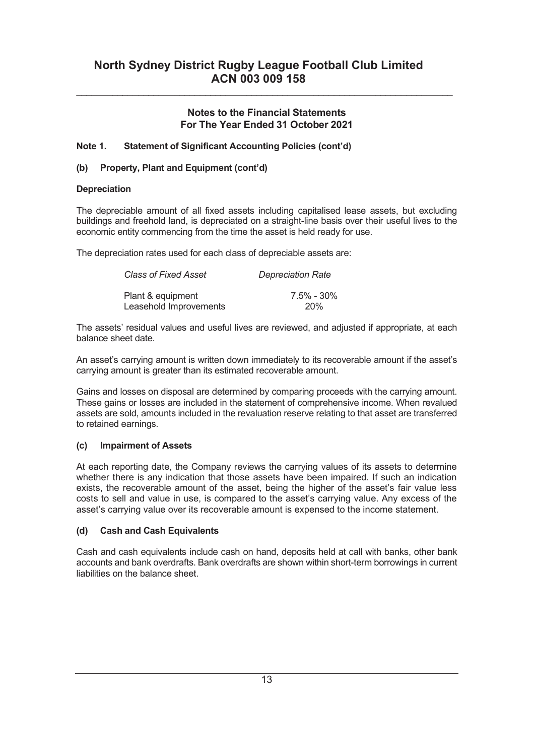\_\_\_\_\_\_\_\_\_\_\_\_\_\_\_\_\_\_\_\_\_\_\_\_\_\_\_\_\_\_\_\_\_\_\_\_\_\_\_\_\_\_\_\_\_\_\_\_\_\_\_\_\_\_\_\_\_\_\_\_\_\_\_\_\_\_\_\_\_\_\_\_\_

## Note 1. Statement of Significant Accounting Policies (cont'd)

## (b) Property, Plant and Equipment (cont'd)

#### **Depreciation**

The depreciable amount of all fixed assets including capitalised lease assets, but excluding buildings and freehold land, is depreciated on a straight-line basis over their useful lives to the economic entity commencing from the time the asset is held ready for use.

The depreciation rates used for each class of depreciable assets are:

| <b>Class of Fixed Asset</b> | <b>Depreciation Rate</b> |
|-----------------------------|--------------------------|
| Plant & equipment           | 7.5% - 30%               |
| Leasehold Improvements      | 20%                      |

The assets' residual values and useful lives are reviewed, and adjusted if appropriate, at each balance sheet date.

An asset's carrying amount is written down immediately to its recoverable amount if the asset's carrying amount is greater than its estimated recoverable amount.

Gains and losses on disposal are determined by comparing proceeds with the carrying amount. These gains or losses are included in the statement of comprehensive income. When revalued assets are sold, amounts included in the revaluation reserve relating to that asset are transferred to retained earnings.

### (c) Impairment of Assets

At each reporting date, the Company reviews the carrying values of its assets to determine whether there is any indication that those assets have been impaired. If such an indication exists, the recoverable amount of the asset, being the higher of the asset's fair value less costs to sell and value in use, is compared to the asset's carrying value. Any excess of the asset's carrying value over its recoverable amount is expensed to the income statement.

### (d) Cash and Cash Equivalents

Cash and cash equivalents include cash on hand, deposits held at call with banks, other bank accounts and bank overdrafts. Bank overdrafts are shown within short-term borrowings in current liabilities on the balance sheet.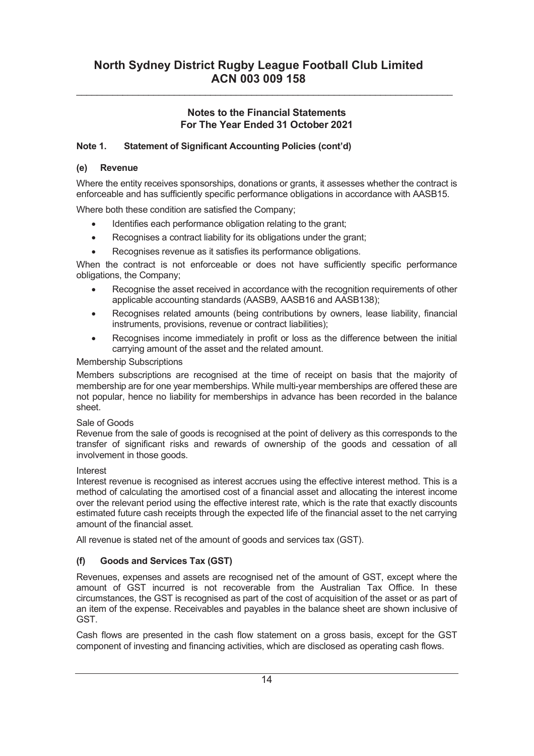\_\_\_\_\_\_\_\_\_\_\_\_\_\_\_\_\_\_\_\_\_\_\_\_\_\_\_\_\_\_\_\_\_\_\_\_\_\_\_\_\_\_\_\_\_\_\_\_\_\_\_\_\_\_\_\_\_\_\_\_\_\_\_\_\_\_\_\_\_\_\_\_\_

## Note 1. Statement of Significant Accounting Policies (cont'd)

### (e) Revenue

Where the entity receives sponsorships, donations or grants, it assesses whether the contract is enforceable and has sufficiently specific performance obligations in accordance with AASB15.

Where both these condition are satisfied the Company;

- Identifies each performance obligation relating to the grant:
- · Recognises a contract liability for its obligations under the grant;
- Recognises revenue as it satisfies its performance obligations.

When the contract is not enforceable or does not have sufficiently specific performance obligations, the Company;

- Recognise the asset received in accordance with the recognition requirements of other applicable accounting standards (AASB9, AASB16 and AASB138);
- · Recognises related amounts (being contributions by owners, lease liability, financial instruments, provisions, revenue or contract liabilities);
- Recognises income immediately in profit or loss as the difference between the initial carrying amount of the asset and the related amount.

### Membership Subscriptions

Members subscriptions are recognised at the time of receipt on basis that the majority of membership are for one year memberships. While multi-year memberships are offered these are not popular, hence no liability for memberships in advance has been recorded in the balance sheet.

### Sale of Goods

Revenue from the sale of goods is recognised at the point of delivery as this corresponds to the transfer of significant risks and rewards of ownership of the goods and cessation of all involvement in those goods.

### Interest

Interest revenue is recognised as interest accrues using the effective interest method. This is a method of calculating the amortised cost of a financial asset and allocating the interest income over the relevant period using the effective interest rate, which is the rate that exactly discounts estimated future cash receipts through the expected life of the financial asset to the net carrying amount of the financial asset.

All revenue is stated net of the amount of goods and services tax (GST).

# (f) Goods and Services Tax (GST)

Revenues, expenses and assets are recognised net of the amount of GST, except where the amount of GST incurred is not recoverable from the Australian Tax Office. In these circumstances, the GST is recognised as part of the cost of acquisition of the asset or as part of an item of the expense. Receivables and payables in the balance sheet are shown inclusive of GST.

Cash flows are presented in the cash flow statement on a gross basis, except for the GST component of investing and financing activities, which are disclosed as operating cash flows.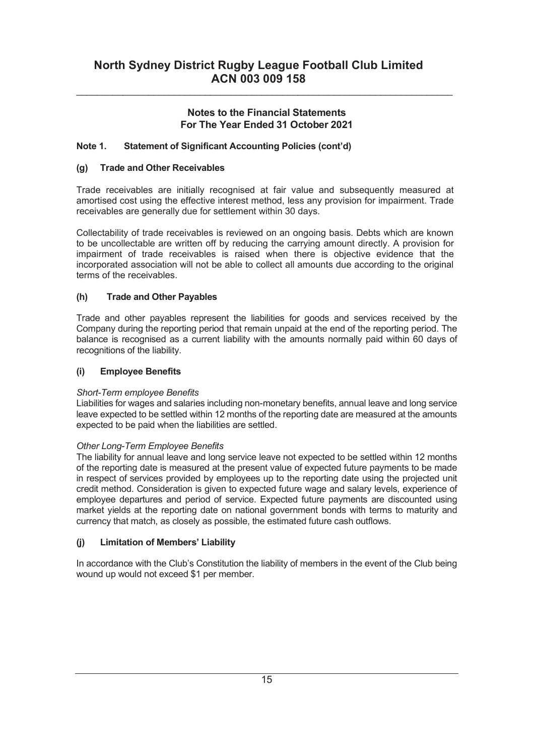\_\_\_\_\_\_\_\_\_\_\_\_\_\_\_\_\_\_\_\_\_\_\_\_\_\_\_\_\_\_\_\_\_\_\_\_\_\_\_\_\_\_\_\_\_\_\_\_\_\_\_\_\_\_\_\_\_\_\_\_\_\_\_\_\_\_\_\_\_\_\_\_\_

## Note 1. Statement of Significant Accounting Policies (cont'd)

### (g) Trade and Other Receivables

Trade receivables are initially recognised at fair value and subsequently measured at amortised cost using the effective interest method, less any provision for impairment. Trade receivables are generally due for settlement within 30 days.

Collectability of trade receivables is reviewed on an ongoing basis. Debts which are known to be uncollectable are written off by reducing the carrying amount directly. A provision for impairment of trade receivables is raised when there is objective evidence that the incorporated association will not be able to collect all amounts due according to the original terms of the receivables.

### (h) Trade and Other Payables

Trade and other payables represent the liabilities for goods and services received by the Company during the reporting period that remain unpaid at the end of the reporting period. The balance is recognised as a current liability with the amounts normally paid within 60 days of recognitions of the liability.

### (i) Employee Benefits

### Short-Term employee Benefits

Liabilities for wages and salaries including non-monetary benefits, annual leave and long service leave expected to be settled within 12 months of the reporting date are measured at the amounts expected to be paid when the liabilities are settled.

### Other Long-Term Employee Benefits

The liability for annual leave and long service leave not expected to be settled within 12 months of the reporting date is measured at the present value of expected future payments to be made in respect of services provided by employees up to the reporting date using the projected unit credit method. Consideration is given to expected future wage and salary levels, experience of employee departures and period of service. Expected future payments are discounted using market yields at the reporting date on national government bonds with terms to maturity and currency that match, as closely as possible, the estimated future cash outflows.

### (j) Limitation of Members' Liability

In accordance with the Club's Constitution the liability of members in the event of the Club being wound up would not exceed \$1 per member.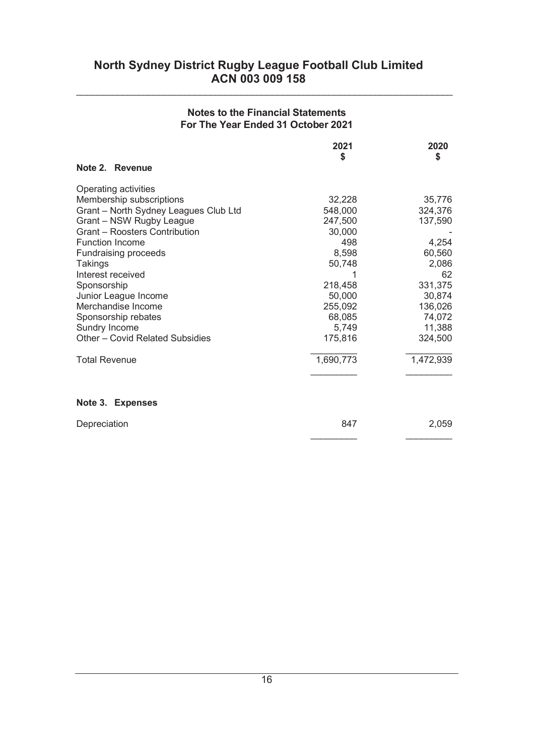# Notes to the Financial Statements For The Year Ended 31 October 2021

\_\_\_\_\_\_\_\_\_\_\_\_\_\_\_\_\_\_\_\_\_\_\_\_\_\_\_\_\_\_\_\_\_\_\_\_\_\_\_\_\_\_\_\_\_\_\_\_\_\_\_\_\_\_\_\_\_\_\_\_\_\_\_\_\_\_\_\_\_\_\_\_\_

|                                       | 2021      | 2020      |
|---------------------------------------|-----------|-----------|
| Note 2. Revenue                       | \$        | \$        |
| Operating activities                  |           |           |
| Membership subscriptions              | 32,228    | 35,776    |
| Grant - North Sydney Leagues Club Ltd | 548,000   | 324,376   |
| Grant - NSW Rugby League              | 247,500   | 137,590   |
| <b>Grant - Roosters Contribution</b>  | 30,000    |           |
| <b>Function Income</b>                | 498       | 4,254     |
| Fundraising proceeds                  | 8,598     | 60,560    |
| Takings                               | 50,748    | 2,086     |
| Interest received                     |           | 62        |
| Sponsorship                           | 218,458   | 331,375   |
| Junior League Income                  | 50,000    | 30,874    |
| Merchandise Income                    | 255,092   | 136,026   |
| Sponsorship rebates                   | 68,085    | 74,072    |
| Sundry Income                         | 5,749     | 11,388    |
| Other - Covid Related Subsidies       | 175,816   | 324,500   |
| <b>Total Revenue</b>                  | 1,690,773 | 1,472,939 |
| Note 3. Expenses                      |           |           |
| Depreciation                          | 847       | 2,059     |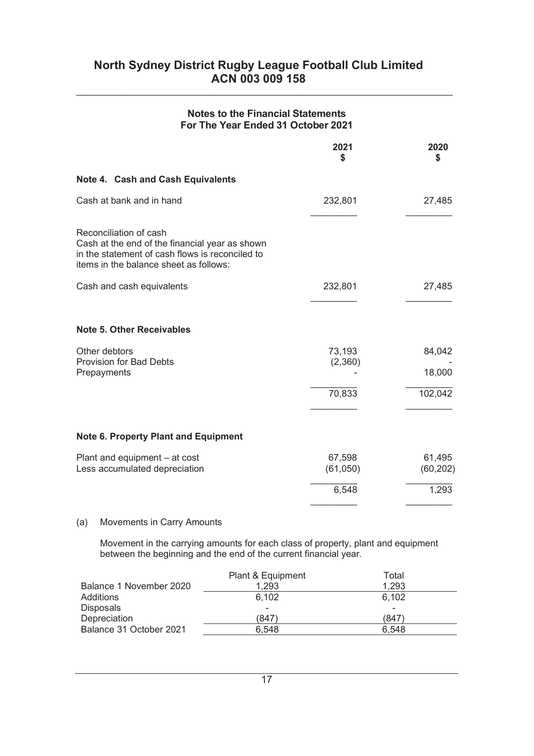\_\_\_\_\_\_\_\_\_\_\_\_\_\_\_\_\_\_\_\_\_\_\_\_\_\_\_\_\_\_\_\_\_\_\_\_\_\_\_\_\_\_\_\_\_\_\_\_\_\_\_\_\_\_\_\_\_\_\_\_\_\_\_\_\_\_\_\_\_\_\_\_\_

| <b>Notes to the Financial Statements</b><br>For The Year Ended 31 October 2021                                                                                        |                             |                             |
|-----------------------------------------------------------------------------------------------------------------------------------------------------------------------|-----------------------------|-----------------------------|
|                                                                                                                                                                       | 2021<br>\$                  | 2020<br>S                   |
| Note 4. Cash and Cash Equivalents                                                                                                                                     |                             |                             |
| Cash at bank and in hand                                                                                                                                              | 232,801                     | 27,485                      |
| Reconciliation of cash<br>Cash at the end of the financial year as shown<br>in the statement of cash flows is reconciled to<br>items in the balance sheet as follows: |                             |                             |
| Cash and cash equivalents                                                                                                                                             | 232,801                     | 27,485                      |
| <b>Note 5. Other Receivables</b>                                                                                                                                      |                             |                             |
| Other debtors<br><b>Provision for Bad Debts</b><br>Prepayments                                                                                                        | 73,193<br>(2,360)<br>70,833 | 84,042<br>18,000<br>102,042 |
| <b>Note 6. Property Plant and Equipment</b>                                                                                                                           |                             |                             |
| Plant and equipment - at cost<br>Less accumulated depreciation                                                                                                        | 67,598<br>(61,050)          | 61,495<br>(60, 202)         |
|                                                                                                                                                                       | 6,548                       | 1,293                       |

### (a) Movements in Carry Amounts

Movement in the carrying amounts for each class of property, plant and equipment between the beginning and the end of the current financial year.

|                         | Plant & Equipment | Total                    |
|-------------------------|-------------------|--------------------------|
| Balance 1 November 2020 | 1,293             | 1,293                    |
| Additions               | 6,102             | 6,102                    |
| <b>Disposals</b>        | -                 | $\overline{\phantom{a}}$ |
| Depreciation            | (847)             | (847)                    |
| Balance 31 October 2021 | 6.548             | 6.548                    |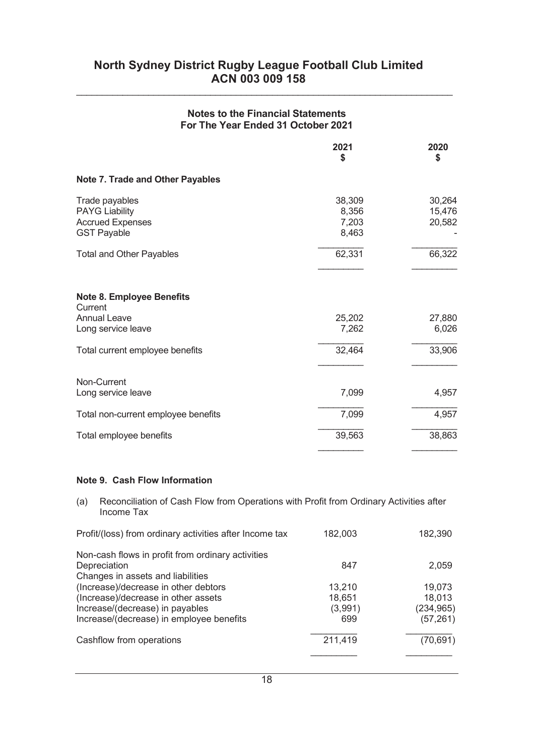# Notes to the Financial Statements For The Year Ended 31 October 2021

\_\_\_\_\_\_\_\_\_\_\_\_\_\_\_\_\_\_\_\_\_\_\_\_\_\_\_\_\_\_\_\_\_\_\_\_\_\_\_\_\_\_\_\_\_\_\_\_\_\_\_\_\_\_\_\_\_\_\_\_\_\_\_\_\_\_\_\_\_\_\_\_\_

|                                                                                          | 2021<br>\$                        | 2020<br>\$                 |
|------------------------------------------------------------------------------------------|-----------------------------------|----------------------------|
| <b>Note 7. Trade and Other Payables</b>                                                  |                                   |                            |
| Trade payables<br><b>PAYG Liability</b><br><b>Accrued Expenses</b><br><b>GST Payable</b> | 38,309<br>8,356<br>7,203<br>8,463 | 30,264<br>15,476<br>20,582 |
| <b>Total and Other Payables</b>                                                          | 62,331                            | 66,322                     |
| <b>Note 8. Employee Benefits</b><br>Current<br><b>Annual Leave</b><br>Long service leave | 25,202<br>7,262                   | 27,880<br>6,026            |
| Total current employee benefits                                                          | 32,464                            | 33,906                     |
| Non-Current<br>Long service leave                                                        | 7,099                             | 4,957                      |
| Total non-current employee benefits                                                      | 7,099                             | 4,957                      |
| Total employee benefits                                                                  | 39,563                            | 38,863                     |

#### Note 9. Cash Flow Information

(a) Reconciliation of Cash Flow from Operations with Profit from Ordinary Activities after Income Tax

| Profit/(loss) from ordinary activities after Income tax                                                                                                    | 182,003                            | 182,390                                     |
|------------------------------------------------------------------------------------------------------------------------------------------------------------|------------------------------------|---------------------------------------------|
| Non-cash flows in profit from ordinary activities<br>Depreciation<br>Changes in assets and liabilities                                                     | 847                                | 2,059                                       |
| (Increase)/decrease in other debtors<br>(Increase)/decrease in other assets<br>Increase/(decrease) in payables<br>Increase/(decrease) in employee benefits | 13,210<br>18,651<br>(3,991)<br>699 | 19,073<br>18,013<br>(234, 965)<br>(57, 261) |
| Cashflow from operations                                                                                                                                   | 211,419                            | (70, 691)                                   |
|                                                                                                                                                            |                                    |                                             |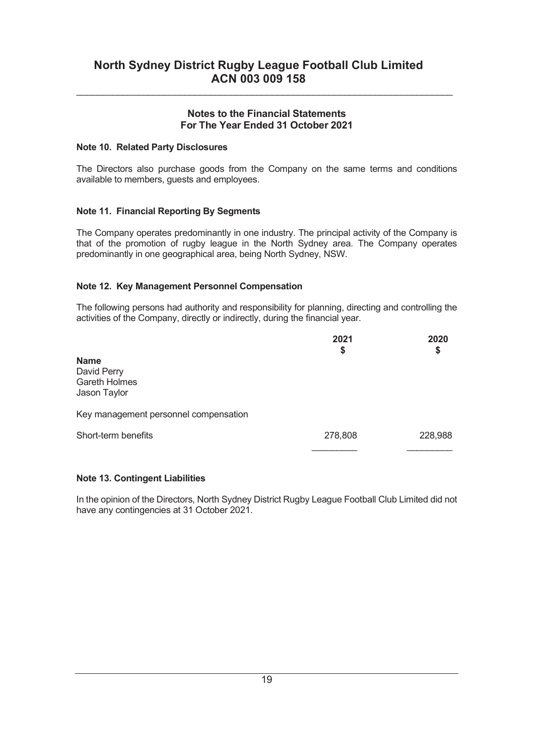\_\_\_\_\_\_\_\_\_\_\_\_\_\_\_\_\_\_\_\_\_\_\_\_\_\_\_\_\_\_\_\_\_\_\_\_\_\_\_\_\_\_\_\_\_\_\_\_\_\_\_\_\_\_\_\_\_\_\_\_\_\_\_\_\_\_\_\_\_\_\_\_\_

#### Note 10. Related Party Disclosures

The Directors also purchase goods from the Company on the same terms and conditions available to members, guests and employees.

### Note 11. Financial Reporting By Segments

The Company operates predominantly in one industry. The principal activity of the Company is that of the promotion of rugby league in the North Sydney area. The Company operates predominantly in one geographical area, being North Sydney, NSW.

#### Note 12. Key Management Personnel Compensation

The following persons had authority and responsibility for planning, directing and controlling the activities of the Company, directly or indirectly, during the financial year.

|                                                                    | 2021<br>\$ | 2020<br>\$ |
|--------------------------------------------------------------------|------------|------------|
| <b>Name</b><br>David Perry<br><b>Gareth Holmes</b><br>Jason Taylor |            |            |
| Key management personnel compensation                              |            |            |
| Short-term benefits                                                | 278,808    | 228,988    |
|                                                                    |            |            |

### Note 13. Contingent Liabilities

In the opinion of the Directors, North Sydney District Rugby League Football Club Limited did not have any contingencies at 31 October 2021.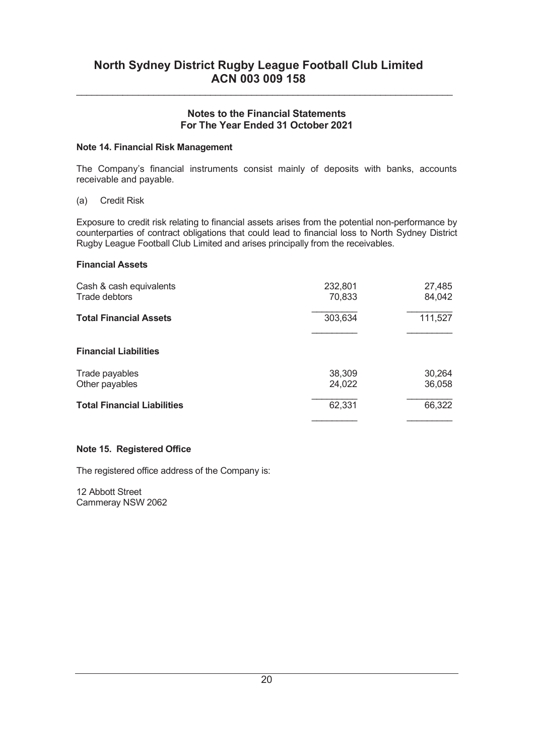\_\_\_\_\_\_\_\_\_\_\_\_\_\_\_\_\_\_\_\_\_\_\_\_\_\_\_\_\_\_\_\_\_\_\_\_\_\_\_\_\_\_\_\_\_\_\_\_\_\_\_\_\_\_\_\_\_\_\_\_\_\_\_\_\_\_\_\_\_\_\_\_\_

#### Note 14. Financial Risk Management

The Company's financial instruments consist mainly of deposits with banks, accounts receivable and payable.

#### (a) Credit Risk

Exposure to credit risk relating to financial assets arises from the potential non-performance by counterparties of contract obligations that could lead to financial loss to North Sydney District Rugby League Football Club Limited and arises principally from the receivables.

#### Financial Assets

| Cash & cash equivalents<br>Trade debtors | 232,801<br>70,833 | 27,485<br>84,042 |
|------------------------------------------|-------------------|------------------|
| <b>Total Financial Assets</b>            | 303,634           | 111,527          |
| <b>Financial Liabilities</b>             |                   |                  |
| Trade payables<br>Other payables         | 38,309<br>24,022  | 30,264<br>36,058 |
| <b>Total Financial Liabilities</b>       | 62,331            | 66,322           |

### Note 15. Registered Office

The registered office address of the Company is:

12 Abbott Street Cammeray NSW 2062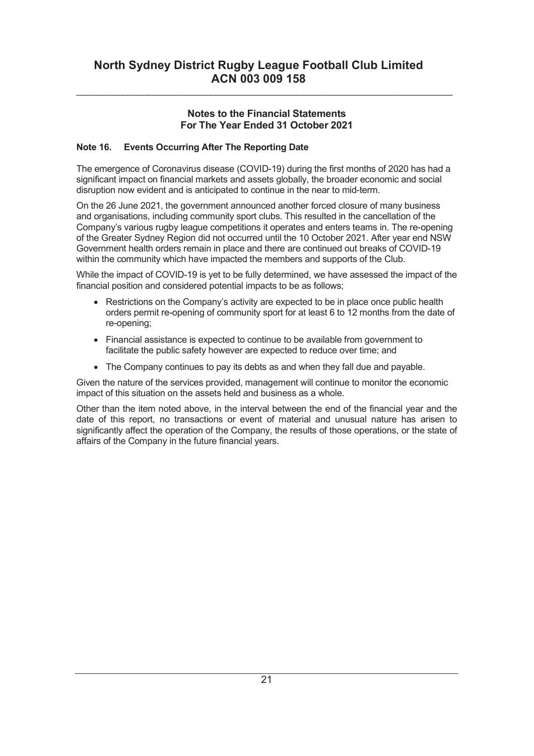\_\_\_\_\_\_\_\_\_\_\_\_\_\_\_\_\_\_\_\_\_\_\_\_\_\_\_\_\_\_\_\_\_\_\_\_\_\_\_\_\_\_\_\_\_\_\_\_\_\_\_\_\_\_\_\_\_\_\_\_\_\_\_\_\_\_\_\_\_\_\_\_\_

## Note 16. Events Occurring After The Reporting Date

The emergence of Coronavirus disease (COVID-19) during the first months of 2020 has had a significant impact on financial markets and assets globally, the broader economic and social disruption now evident and is anticipated to continue in the near to mid-term.

On the 26 June 2021, the government announced another forced closure of many business and organisations, including community sport clubs. This resulted in the cancellation of the Company's various rugby league competitions it operates and enters teams in. The re-opening of the Greater Sydney Region did not occurred until the 10 October 2021. After year end NSW Government health orders remain in place and there are continued out breaks of COVID-19 within the community which have impacted the members and supports of the Club.

While the impact of COVID-19 is yet to be fully determined, we have assessed the impact of the financial position and considered potential impacts to be as follows;

- Restrictions on the Company's activity are expected to be in place once public health orders permit re-opening of community sport for at least 6 to 12 months from the date of re-opening;
- · Financial assistance is expected to continue to be available from government to facilitate the public safety however are expected to reduce over time; and
- The Company continues to pay its debts as and when they fall due and payable.

Given the nature of the services provided, management will continue to monitor the economic impact of this situation on the assets held and business as a whole.

Other than the item noted above, in the interval between the end of the financial year and the date of this report, no transactions or event of material and unusual nature has arisen to significantly affect the operation of the Company, the results of those operations, or the state of affairs of the Company in the future financial years.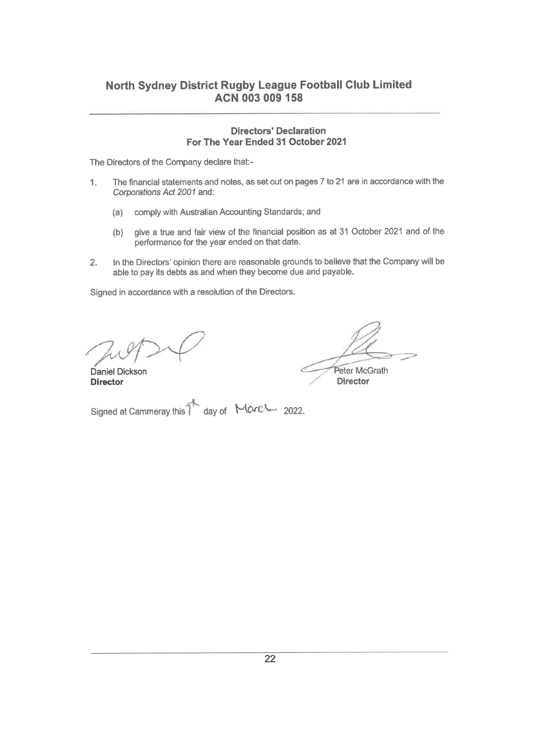#### **Directors' Declaration** For The Year Ended 31 October 2021

The Directors of the Company declare that:-

- The financial statements and notes, as set out on pages 7 to 21 are in accordance with the  $\mathbf{1}$ . Corporations Act 2001 and:
	- (a) comply with Australian Accounting Standards; and
	- give a true and fair view of the financial position as at 31 October 2021 and of the  $(b)$ performance for the year ended on that date.
- In the Directors' opinion there are reasonable grounds to believe that the Company will be  $2.$ able to pay its debts as and when they become due and payable.

Signed in accordance with a resolution of the Directors.

Peter McGrath

**Director** 

Daniel Dickson **Director** 

Signed at Cammeray this T day of March 2022.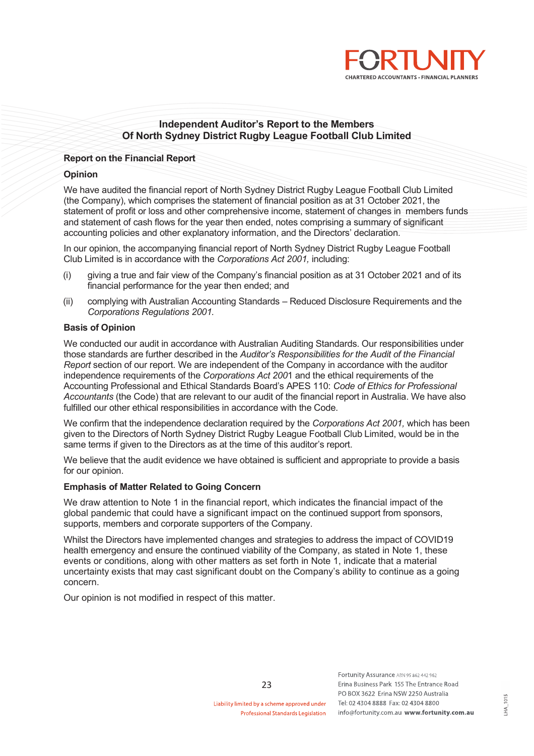

#### Independent Auditor's Report to the Members Of North Sydney District Rugby League Football Club Limited

#### Report on the Financial Report

#### **Opinion**

We have audited the financial report of North Sydney District Rugby League Football Club Limited (the Company), which comprises the statement of financial position as at 31 October 2021, the statement of profit or loss and other comprehensive income, statement of changes in members funds and statement of cash flows for the year then ended, notes comprising a summary of significant accounting policies and other explanatory information, and the Directors' declaration.

In our opinion, the accompanying financial report of North Sydney District Rugby League Football Club Limited is in accordance with the Corporations Act 2001, including:

- (i) giving a true and fair view of the Company's financial position as at 31 October 2021 and of its financial performance for the year then ended; and
- (ii) complying with Australian Accounting Standards Reduced Disclosure Requirements and the Corporations Regulations 2001.

#### Basis of Opinion

We conducted our audit in accordance with Australian Auditing Standards. Our responsibilities under those standards are further described in the Auditor's Responsibilities for the Audit of the Financial Report section of our report. We are independent of the Company in accordance with the auditor independence requirements of the Corporations Act 2001 and the ethical requirements of the Accounting Professional and Ethical Standards Board's APES 110: Code of Ethics for Professional Accountants (the Code) that are relevant to our audit of the financial report in Australia. We have also fulfilled our other ethical responsibilities in accordance with the Code.

We confirm that the independence declaration required by the Corporations Act 2001, which has been given to the Directors of North Sydney District Rugby League Football Club Limited, would be in the same terms if given to the Directors as at the time of this auditor's report.

We believe that the audit evidence we have obtained is sufficient and appropriate to provide a basis for our opinion.

#### Emphasis of Matter Related to Going Concern

We draw attention to Note 1 in the financial report, which indicates the financial impact of the global pandemic that could have a significant impact on the continued support from sponsors, supports, members and corporate supporters of the Company.

Whilst the Directors have implemented changes and strategies to address the impact of COVID19 health emergency and ensure the continued viability of the Company, as stated in Note 1, these events or conditions, along with other matters as set forth in Note 1, indicate that a material uncertainty exists that may cast significant doubt on the Company's ability to continue as a going concern.

Our opinion is not modified in respect of this matter.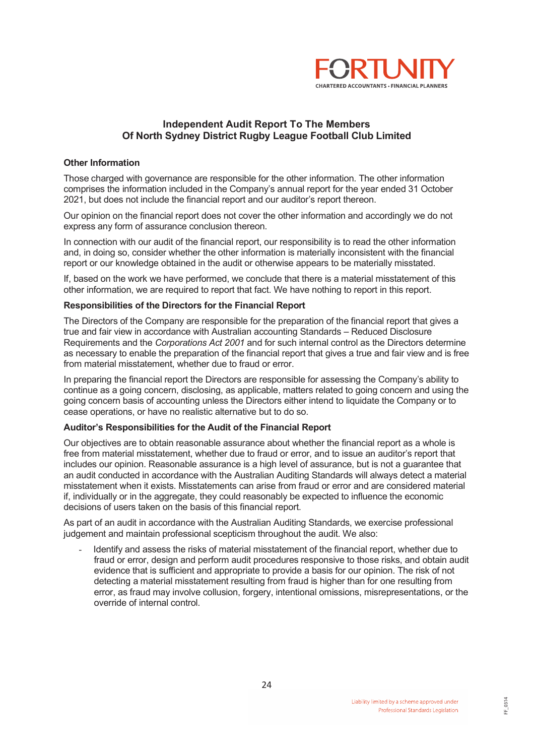

## Independent Audit Report To The Members Of North Sydney District Rugby League Football Club Limited

#### Other Information

Those charged with governance are responsible for the other information. The other information comprises the information included in the Company's annual report for the year ended 31 October 2021, but does not include the financial report and our auditor's report thereon.

Our opinion on the financial report does not cover the other information and accordingly we do not express any form of assurance conclusion thereon.

In connection with our audit of the financial report, our responsibility is to read the other information and, in doing so, consider whether the other information is materially inconsistent with the financial report or our knowledge obtained in the audit or otherwise appears to be materially misstated.

If, based on the work we have performed, we conclude that there is a material misstatement of this other information, we are required to report that fact. We have nothing to report in this report.

#### Responsibilities of the Directors for the Financial Report

The Directors of the Company are responsible for the preparation of the financial report that gives a true and fair view in accordance with Australian accounting Standards – Reduced Disclosure Requirements and the Corporations Act 2001 and for such internal control as the Directors determine as necessary to enable the preparation of the financial report that gives a true and fair view and is free from material misstatement, whether due to fraud or error.

In preparing the financial report the Directors are responsible for assessing the Company's ability to continue as a going concern, disclosing, as applicable, matters related to going concern and using the going concern basis of accounting unless the Directors either intend to liquidate the Company or to cease operations, or have no realistic alternative but to do so.

#### Auditor's Responsibilities for the Audit of the Financial Report

Our objectives are to obtain reasonable assurance about whether the financial report as a whole is free from material misstatement, whether due to fraud or error, and to issue an auditor's report that includes our opinion. Reasonable assurance is a high level of assurance, but is not a guarantee that an audit conducted in accordance with the Australian Auditing Standards will always detect a material misstatement when it exists. Misstatements can arise from fraud or error and are considered material if, individually or in the aggregate, they could reasonably be expected to influence the economic decisions of users taken on the basis of this financial report.

As part of an audit in accordance with the Australian Auditing Standards, we exercise professional judgement and maintain professional scepticism throughout the audit. We also:

- Identify and assess the risks of material misstatement of the financial report, whether due to fraud or error, design and perform audit procedures responsive to those risks, and obtain audit evidence that is sufficient and appropriate to provide a basis for our opinion. The risk of not detecting a material misstatement resulting from fraud is higher than for one resulting from error, as fraud may involve collusion, forgery, intentional omissions, misrepresentations, or the override of internal control.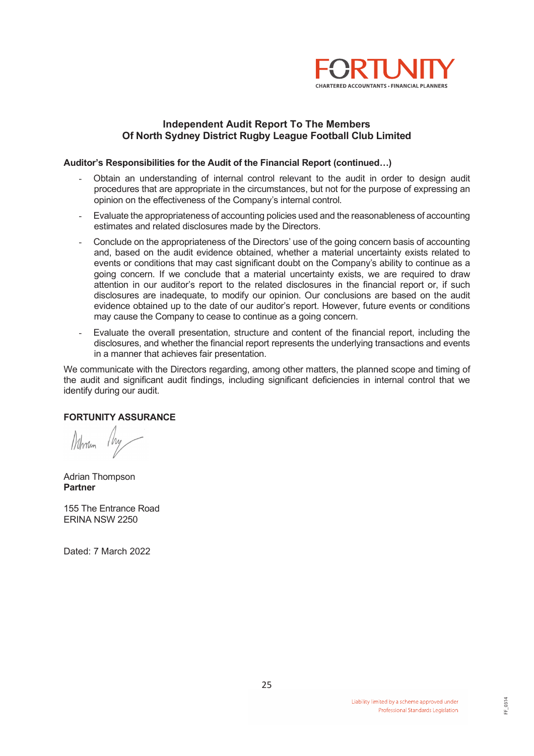

### Independent Audit Report To The Members Of North Sydney District Rugby League Football Club Limited

#### Auditor's Responsibilities for the Audit of the Financial Report (continued…)

- Obtain an understanding of internal control relevant to the audit in order to design audit procedures that are appropriate in the circumstances, but not for the purpose of expressing an opinion on the effectiveness of the Company's internal control.
- Evaluate the appropriateness of accounting policies used and the reasonableness of accounting estimates and related disclosures made by the Directors.
- Conclude on the appropriateness of the Directors' use of the going concern basis of accounting and, based on the audit evidence obtained, whether a material uncertainty exists related to events or conditions that may cast significant doubt on the Company's ability to continue as a going concern. If we conclude that a material uncertainty exists, we are required to draw attention in our auditor's report to the related disclosures in the financial report or, if such disclosures are inadequate, to modify our opinion. Our conclusions are based on the audit evidence obtained up to the date of our auditor's report. However, future events or conditions may cause the Company to cease to continue as a going concern.
- Evaluate the overall presentation, structure and content of the financial report, including the disclosures, and whether the financial report represents the underlying transactions and events in a manner that achieves fair presentation.

We communicate with the Directors regarding, among other matters, the planned scope and timing of the audit and significant audit findings, including significant deficiencies in internal control that we identify during our audit.

#### FORTUNITY ASSURANCE

Moran My

Adrian Thompson Partner

155 The Entrance Road ERINA NSW 2250

Dated: 7 March 2022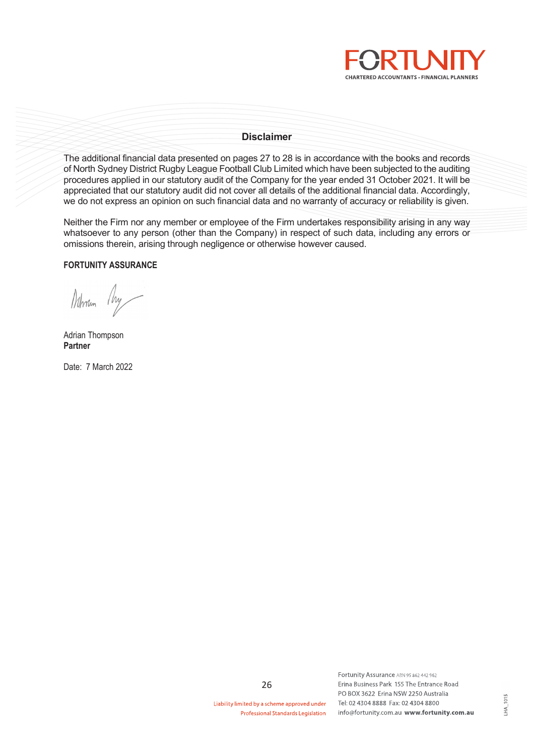

#### Disclaimer

The additional financial data presented on pages 27 to 28 is in accordance with the books and records of North Sydney District Rugby League Football Club Limited which have been subjected to the auditing procedures applied in our statutory audit of the Company for the year ended 31 October 2021. It will be appreciated that our statutory audit did not cover all details of the additional financial data. Accordingly, we do not express an opinion on such financial data and no warranty of accuracy or reliability is given.

Neither the Firm nor any member or employee of the Firm undertakes responsibility arising in any way whatsoever to any person (other than the Company) in respect of such data, including any errors or omissions therein, arising through negligence or otherwise however caused.

#### FORTUNITY ASSURANCE

Notman My

Adrian Thompson Partner

Date: 7 March 2022

Liability limited by a scheme approved under Professional Standards Legislation

26

Fortunity Assurance ABN 95 862 442 962 Erina Business Park 155 The Entrance Road PO BOX 3622 Erina NSW 2250 Australia Tel: 02 4304 8888 Fax: 02 4304 8800 info@fortunity.com.au www.fortunity.com.au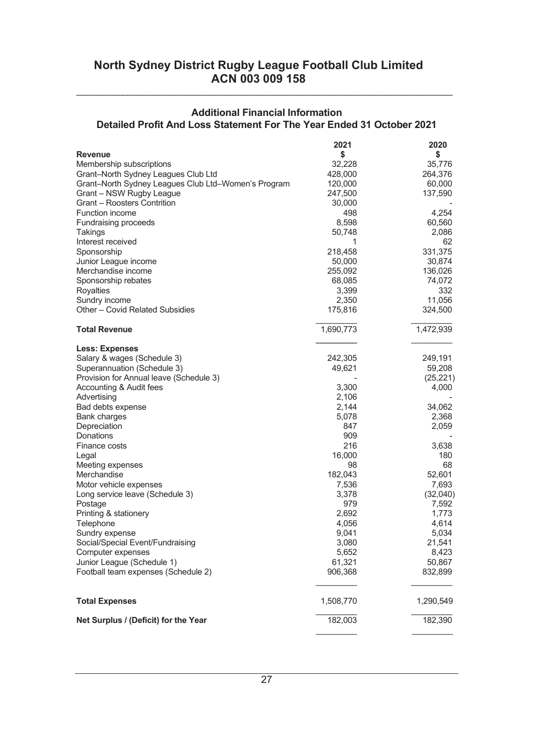## Additional Financial Information Detailed Profit And Loss Statement For The Year Ended 31 October 2021

\_\_\_\_\_\_\_\_\_\_\_\_\_\_\_\_\_\_\_\_\_\_\_\_\_\_\_\_\_\_\_\_\_\_\_\_\_\_\_\_\_\_\_\_\_\_\_\_\_\_\_\_\_\_\_\_\_\_\_\_\_\_\_\_\_\_\_\_\_\_\_\_\_

|                                                     | 2021      | 2020      |
|-----------------------------------------------------|-----------|-----------|
| <b>Revenue</b>                                      | \$        | \$        |
| Membership subscriptions                            | 32,228    | 35,776    |
| Grant-North Sydney Leagues Club Ltd                 | 428,000   | 264,376   |
| Grant-North Sydney Leagues Club Ltd-Women's Program | 120,000   | 60,000    |
| Grant - NSW Rugby League                            | 247,500   | 137,590   |
| Grant – Roosters Contrition                         | 30,000    |           |
| <b>Function income</b>                              | 498       | 4,254     |
| <b>Fundraising proceeds</b>                         | 8,598     | 60,560    |
| Takings                                             | 50,748    | 2,086     |
| Interest received                                   | 1         | 62        |
| Sponsorship                                         | 218,458   | 331,375   |
| Junior League income                                | 50,000    | 30,874    |
| Merchandise income                                  | 255,092   | 136,026   |
| Sponsorship rebates                                 | 68,085    | 74,072    |
| Royalties                                           | 3,399     | 332       |
| Sundry income                                       | 2,350     | 11,056    |
| Other - Covid Related Subsidies                     | 175,816   | 324,500   |
|                                                     |           |           |
| <b>Total Revenue</b>                                | 1,690,773 | 1,472,939 |
| <b>Less: Expenses</b>                               |           |           |
| Salary & wages (Schedule 3)                         | 242,305   | 249,191   |
| Superannuation (Schedule 3)                         | 49,621    | 59,208    |
| Provision for Annual leave (Schedule 3)             |           | (25, 221) |
| Accounting & Audit fees                             | 3,300     | 4,000     |
| Advertising                                         | 2,106     |           |
| Bad debts expense                                   | 2,144     | 34,062    |
| Bank charges                                        | 5,078     | 2,368     |
| Depreciation                                        | 847       | 2,059     |
| Donations                                           | 909       |           |
| Finance costs                                       | 216       | 3,638     |
| Legal                                               | 16,000    | 180       |
| Meeting expenses                                    | 98        | 68        |
| Merchandise                                         | 182,043   | 52,601    |
| Motor vehicle expenses                              | 7,536     | 7,693     |
| Long service leave (Schedule 3)                     | 3,378     | (32,040)  |
| Postage                                             | 979       | 7,592     |
| Printing & stationery                               | 2,692     | 1,773     |
| Telephone                                           | 4,056     | 4,614     |
| Sundry expense                                      | 9,041     | 5,034     |
| Social/Special Event/Fundraising                    | 3,080     | 21,541    |
| Computer expenses                                   | 5,652     | 8,423     |
| Junior League (Schedule 1)                          | 61,321    | 50,867    |
| Football team expenses (Schedule 2)                 | 906,368   | 832,899   |
|                                                     |           |           |
| <b>Total Expenses</b>                               | 1,508,770 | 1,290,549 |
| Net Surplus / (Deficit) for the Year                | 182,003   | 182,390   |
|                                                     |           |           |